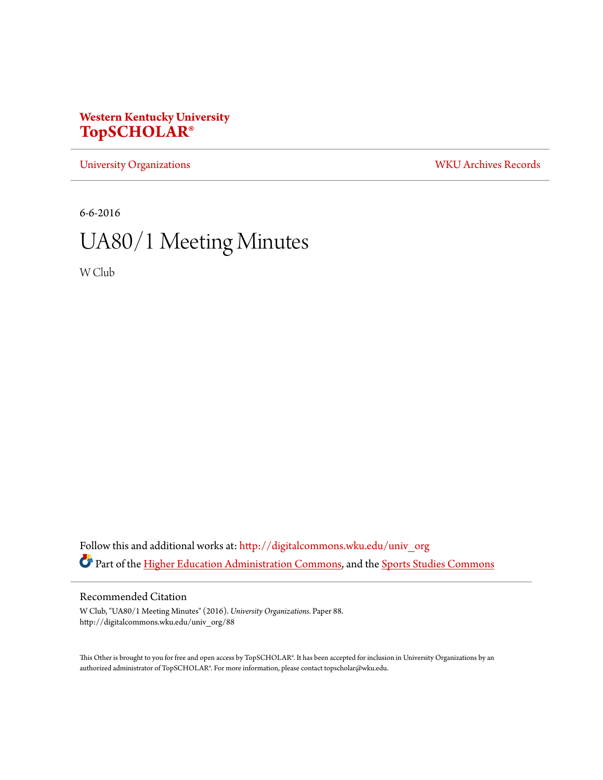# **Western Kentucky University [TopSCHOLAR®](http://digitalcommons.wku.edu?utm_source=digitalcommons.wku.edu%2Funiv_org%2F88&utm_medium=PDF&utm_campaign=PDFCoverPages)**

[University Organizations](http://digitalcommons.wku.edu/univ_org?utm_source=digitalcommons.wku.edu%2Funiv_org%2F88&utm_medium=PDF&utm_campaign=PDFCoverPages) [WKU Archives Records](http://digitalcommons.wku.edu/dlsc_ua_records?utm_source=digitalcommons.wku.edu%2Funiv_org%2F88&utm_medium=PDF&utm_campaign=PDFCoverPages)

6-6-2016

# UA80/1 Meeting Minutes

W Club

Follow this and additional works at: [http://digitalcommons.wku.edu/univ\\_org](http://digitalcommons.wku.edu/univ_org?utm_source=digitalcommons.wku.edu%2Funiv_org%2F88&utm_medium=PDF&utm_campaign=PDFCoverPages) Part of the [Higher Education Administration Commons](http://network.bepress.com/hgg/discipline/791?utm_source=digitalcommons.wku.edu%2Funiv_org%2F88&utm_medium=PDF&utm_campaign=PDFCoverPages), and the [Sports Studies Commons](http://network.bepress.com/hgg/discipline/1198?utm_source=digitalcommons.wku.edu%2Funiv_org%2F88&utm_medium=PDF&utm_campaign=PDFCoverPages)

## Recommended Citation

W Club, "UA80/1 Meeting Minutes" (2016). *University Organizations.* Paper 88. http://digitalcommons.wku.edu/univ\_org/88

This Other is brought to you for free and open access by TopSCHOLAR®. It has been accepted for inclusion in University Organizations by an authorized administrator of TopSCHOLAR®. For more information, please contact topscholar@wku.edu.